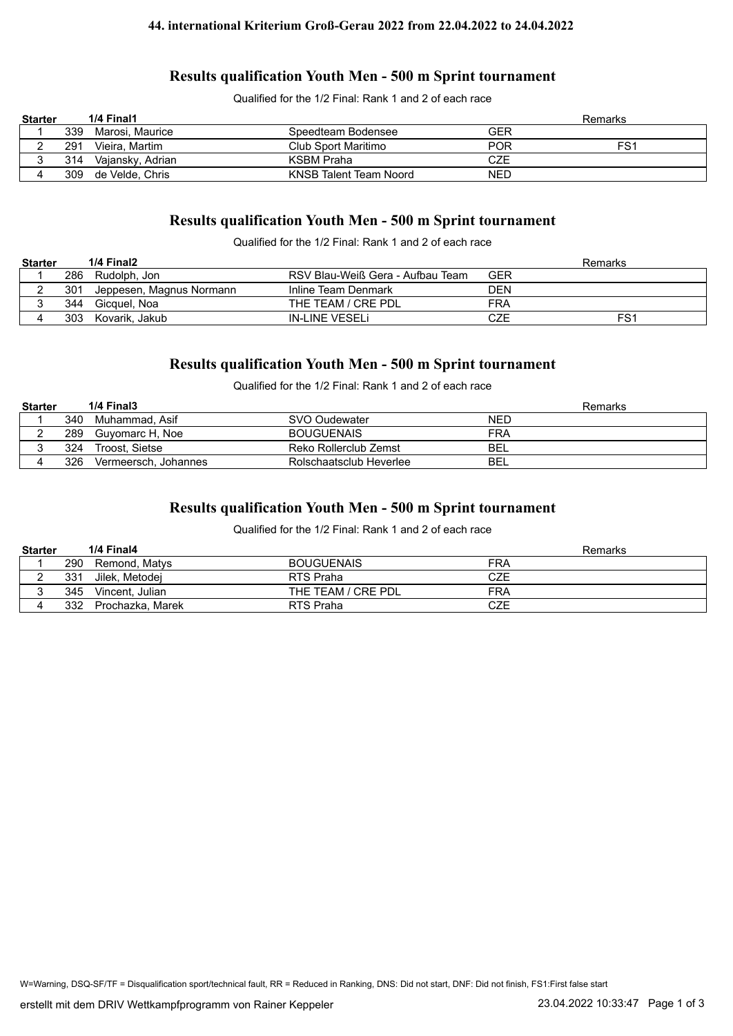## **Results qualification Youth Men - 500 m Sprint tournament**

Qualified for the 1/2 Final: Rank 1 and 2 of each race

| <b>Starter</b> |     | 1/4 Final1       |                        |            | Remarks         |
|----------------|-----|------------------|------------------------|------------|-----------------|
|                | 339 | Marosi. Maurice  | Speedteam Bodensee     | GER        |                 |
|                | 291 | Vieira. Martim   | Club Sport Maritimo    | <b>POR</b> | FS <sub>1</sub> |
| ັ              | 314 | Vajansky, Adrian | KSBM Praha             | CZE        |                 |
|                | 309 | de Velde. Chris  | KNSB Talent Team Noord | <b>NED</b> |                 |

# **Results qualification Youth Men - 500 m Sprint tournament**

Qualified for the 1/2 Final: Rank 1 and 2 of each race

| <b>Starter</b> |     | 1/4 Final2               |                                  |            | Remarks         |
|----------------|-----|--------------------------|----------------------------------|------------|-----------------|
|                | 286 | Rudolph. Jon             | RSV Blau-Weiß Gera - Aufbau Team | GER        |                 |
|                | 301 | Jeppesen, Magnus Normann | Inline Team Denmark              | DEN        |                 |
|                | 344 | Gicquel. Noa             | THE TEAM / CRE PDL               | FRA        |                 |
|                | 303 | Kovarik. Jakub           | IN-LINE VESELI                   | <b>CZE</b> | FS <sup>1</sup> |

### **Results qualification Youth Men - 500 m Sprint tournament**

Qualified for the 1/2 Final: Rank 1 and 2 of each race

| <b>Starter</b> |     | 1/4 Final3           |                         | Remarks    |
|----------------|-----|----------------------|-------------------------|------------|
|                | 340 | Muhammad. Asif       | SVO Oudewater           | NED        |
|                | 289 | Guyomarc H, Noe      | <b>BOUGUENAIS</b>       | FRA        |
|                | 324 | Troost. Sietse       | Reko Rollerclub Zemst   | <b>BEL</b> |
|                | 326 | Vermeersch, Johannes | Rolschaatsclub Heverlee | BEL        |

## **Results qualification Youth Men - 500 m Sprint tournament**

Qualified for the 1/2 Final: Rank 1 and 2 of each race

| <b>Starter</b> |     | 1/4 Final4       |                    | Remarks |
|----------------|-----|------------------|--------------------|---------|
|                | 290 | Remond, Matys    | <b>BOUGUENAIS</b>  | FRA     |
|                | 331 | Jilek. Metodei   | RTS Praha          | CZE     |
|                | 345 | Vincent. Julian  | THE TEAM / CRE PDL | FRA     |
|                | 332 | Prochazka, Marek | RTS Praha          | CZE     |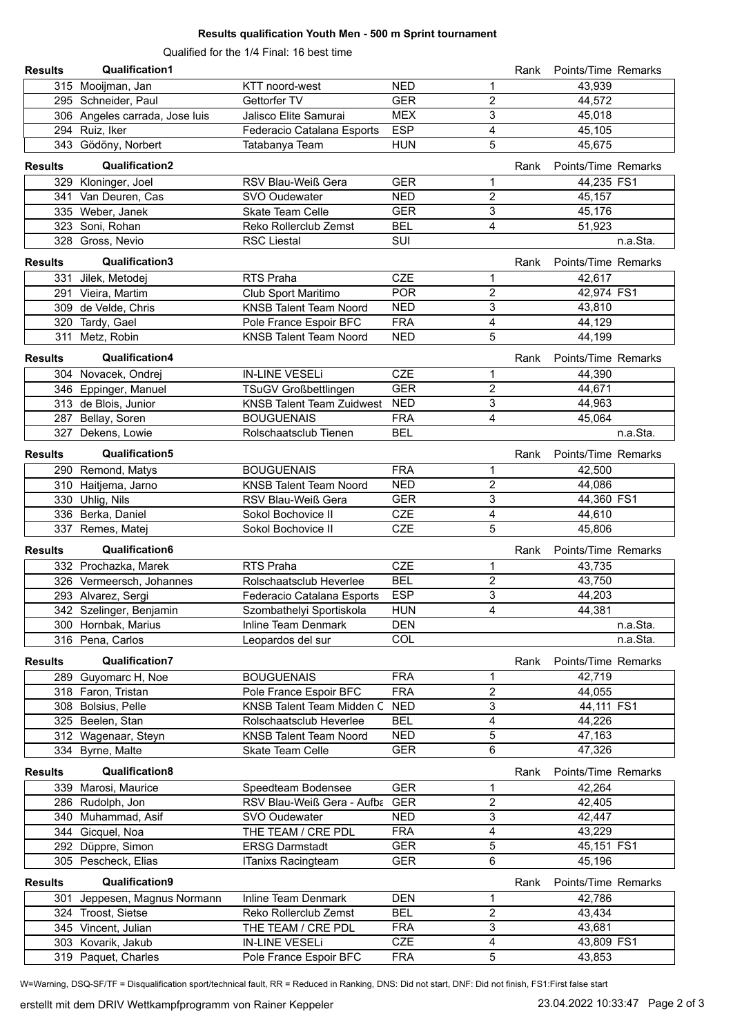#### **Results qualification Youth Men - 500 m Sprint tournament**

Qualified for the 1/4 Final: 16 best time

| <b>Results</b> | <b>Qualification1</b>          |                                  |            |                  | Rank | Points/Time Remarks |
|----------------|--------------------------------|----------------------------------|------------|------------------|------|---------------------|
|                | 315 Mooijman, Jan              | KTT noord-west                   | <b>NED</b> | 1                |      | 43,939              |
|                | 295 Schneider, Paul            | Gettorfer TV                     | <b>GER</b> | $\overline{c}$   |      | 44,572              |
|                | 306 Angeles carrada, Jose luis | Jalisco Elite Samurai            | <b>MEX</b> | 3                |      | 45,018              |
|                | 294 Ruiz, Iker                 | Federacio Catalana Esports       | <b>ESP</b> | 4                |      | 45,105              |
|                | 343 Gödöny, Norbert            | Tatabanya Team                   | <b>HUN</b> | 5                |      | 45,675              |
| <b>Results</b> | Qualification2                 |                                  |            |                  | Rank | Points/Time Remarks |
|                | 329 Kloninger, Joel            | RSV Blau-Weiß Gera               | <b>GER</b> | 1                |      | 44,235 FS1          |
|                | 341 Van Deuren, Cas            | SVO Oudewater                    | <b>NED</b> | $\overline{c}$   |      | 45,157              |
|                | 335 Weber, Janek               | <b>Skate Team Celle</b>          | <b>GER</b> | 3                |      | 45,176              |
|                | 323 Soni, Rohan                | Reko Rollerclub Zemst            | <b>BEL</b> | 4                |      | 51,923              |
|                | 328 Gross, Nevio               | <b>RSC Liestal</b>               | SUI        |                  |      | n.a.Sta.            |
| <b>Results</b> | Qualification3                 |                                  |            |                  | Rank | Points/Time Remarks |
| 331            | Jilek, Metodej                 | RTS Praha                        | <b>CZE</b> | 1                |      | 42,617              |
|                | 291 Vieira, Martim             | Club Sport Maritimo              | <b>POR</b> | $\overline{c}$   |      | 42,974 FS1          |
|                | 309 de Velde, Chris            | <b>KNSB Talent Team Noord</b>    | <b>NED</b> | 3                |      | 43,810              |
|                | 320 Tardy, Gael                | Pole France Espoir BFC           | <b>FRA</b> | 4                |      | 44,129              |
|                | 311 Metz, Robin                | <b>KNSB Talent Team Noord</b>    | <b>NED</b> | 5                |      | 44,199              |
| <b>Results</b> | Qualification4                 |                                  |            |                  | Rank | Points/Time Remarks |
|                | 304 Novacek, Ondrej            | <b>IN-LINE VESELi</b>            | <b>CZE</b> | 1                |      | 44,390              |
|                | 346 Eppinger, Manuel           | <b>TSuGV Großbettlingen</b>      | <b>GER</b> | $\overline{c}$   |      | 44,671              |
|                | 313 de Blois, Junior           | <b>KNSB Talent Team Zuidwest</b> | <b>NED</b> | 3                |      | 44,963              |
|                | 287 Bellay, Soren              | <b>BOUGUENAIS</b>                | <b>FRA</b> | 4                |      | 45,064              |
|                | 327 Dekens, Lowie              | Rolschaatsclub Tienen            | <b>BEL</b> |                  |      | n.a.Sta.            |
| <b>Results</b> | Qualification5                 |                                  |            |                  | Rank | Points/Time Remarks |
|                | 290 Remond, Matys              | <b>BOUGUENAIS</b>                | <b>FRA</b> | 1                |      | 42,500              |
|                | 310 Haitjema, Jarno            | <b>KNSB Talent Team Noord</b>    | <b>NED</b> | $\overline{c}$   |      | 44,086              |
|                | 330 Uhlig, Nils                | RSV Blau-Weiß Gera               | <b>GER</b> | 3                |      | 44,360 FS1          |
|                | 336 Berka, Daniel              | Sokol Bochovice II               | <b>CZE</b> | 4                |      | 44,610              |
|                | 337 Remes, Matej               | Sokol Bochovice II               | <b>CZE</b> | 5                |      | 45,806              |
| <b>Results</b> | Qualification6                 |                                  |            |                  | Rank | Points/Time Remarks |
|                | 332 Prochazka, Marek           | RTS Praha                        | <b>CZE</b> | 1                |      | 43,735              |
|                | 326 Vermeersch, Johannes       | Rolschaatsclub Heverlee          | <b>BEL</b> | $\overline{c}$   |      | 43,750              |
|                | 293 Alvarez, Sergi             | Federacio Catalana Esports       | <b>ESP</b> | 3                |      | 44,203              |
|                | 342 Szelinger, Benjamin        | Szombathelyi Sportiskola         | <b>HUN</b> | 4                |      | 44,381              |
|                | 300 Hornbak, Marius            | Inline Team Denmark              | <b>DEN</b> |                  |      | n.a.Sta.            |
|                | 316 Pena, Carlos               | Leopardos del sur                | COL        |                  |      | n.a.Sta.            |
| <b>Results</b> | <b>Qualification7</b>          |                                  |            |                  | Rank | Points/Time Remarks |
|                | 289 Guyomarc H, Noe            | <b>BOUGUENAIS</b>                | <b>FRA</b> | 1                |      | 42,719              |
|                | 318 Faron, Tristan             | Pole France Espoir BFC           | <b>FRA</b> | 2                |      | 44,055              |
|                | 308 Bolsius, Pelle             | KNSB Talent Team Midden C        | <b>NED</b> | 3                |      | 44,111 FS1          |
|                | 325 Beelen, Stan               | Rolschaatsclub Heverlee          | <b>BEL</b> | 4                |      | 44,226              |
|                | 312 Wagenaar, Steyn            | <b>KNSB Talent Team Noord</b>    | <b>NED</b> | 5                |      | 47,163              |
|                | 334 Byrne, Malte               | Skate Team Celle                 | <b>GER</b> | 6                |      | 47,326              |
| <b>Results</b> | Qualification8                 |                                  |            |                  | Rank | Points/Time Remarks |
|                | 339 Marosi, Maurice            | Speedteam Bodensee               | <b>GER</b> | 1                |      | 42,264              |
|                | 286 Rudolph, Jon               | RSV Blau-Weiß Gera - Aufba GER   |            | 2                |      | 42,405              |
|                | 340 Muhammad, Asif             | SVO Oudewater                    | <b>NED</b> | 3                |      | 42,447              |
|                | 344 Gicquel, Noa               | THE TEAM / CRE PDL               | <b>FRA</b> | 4                |      | 43,229              |
|                | 292 Düppre, Simon              | <b>ERSG Darmstadt</b>            | <b>GER</b> | 5                |      | 45,151 FS1          |
|                | 305 Pescheck, Elias            | ITanixs Racingteam               | <b>GER</b> | 6                |      | 45,196              |
| <b>Results</b> | Qualification9                 |                                  |            |                  | Rank | Points/Time Remarks |
| 301.           | Jeppesen, Magnus Normann       | Inline Team Denmark              | <b>DEN</b> | 1                |      | 42,786              |
|                | 324 Troost, Sietse             | Reko Rollerclub Zemst            | <b>BEL</b> | $\boldsymbol{2}$ |      | 43,434              |
|                | 345 Vincent, Julian            | THE TEAM / CRE PDL               | <b>FRA</b> | 3                |      | 43,681              |
|                | 303 Kovarik, Jakub             | IN-LINE VESELI                   | <b>CZE</b> | 4                |      | 43,809 FS1          |
|                | 319 Paquet, Charles            | Pole France Espoir BFC           | <b>FRA</b> | 5                |      | 43,853              |

W=Warning, DSQ-SF/TF = Disqualification sport/technical fault, RR = Reduced in Ranking, DNS: Did not start, DNF: Did not finish, FS1:First false start